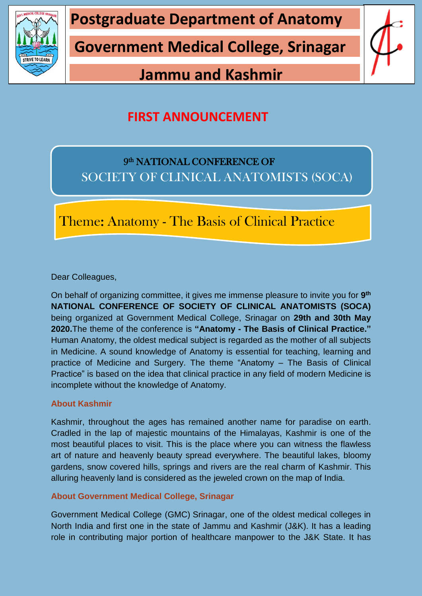

**Postgraduate Department of Anatomy**

**Government Medical College, Srinagar**

# **Jammu and Kashmir**



## **FIRST ANNOUNCEMENT**

### 9<sup>th</sup> NATIONAL CONFERENCE OF SOCIETY OF CLINICAL ANATOMISTS (SOCA)

Theme: Anatomy - The Basis of Clinical Practice

Dear Colleagues,

On behalf of organizing committee, it gives me immense pleasure to invite you for **9 th NATIONAL CONFERENCE OF SOCIETY OF CLINICAL ANATOMISTS (SOCA)** being organized at Government Medical College, Srinagar on **29th and 30th May 2020.**The theme of the conference is **"Anatomy - The Basis of Clinical Practice."** Human Anatomy, the oldest medical subject is regarded as the mother of all subjects in Medicine. A sound knowledge of Anatomy is essential for teaching, learning and practice of Medicine and Surgery. The theme "Anatomy – The Basis of Clinical Practice" is based on the idea that clinical practice in any field of modern Medicine is incomplete without the knowledge of Anatomy.

### **About Kashmir**

Kashmir, throughout the ages has remained another name for paradise on earth. Cradled in the lap of majestic mountains of the Himalayas, Kashmir is one of the most beautiful places to visit. This is the place where you can witness the flawless art of nature and heavenly beauty spread everywhere. The beautiful lakes, bloomy gardens, snow covered hills, springs and rivers are the real charm of Kashmir. This alluring heavenly land is considered as the jeweled crown on the map of India.

### **About Government Medical College, Srinagar**

Government Medical College (GMC) Srinagar, one of the oldest medical colleges in North India and first one in the state of Jammu and Kashmir (J&K). It has a leading role in contributing major portion of healthcare manpower to the J&K State. It has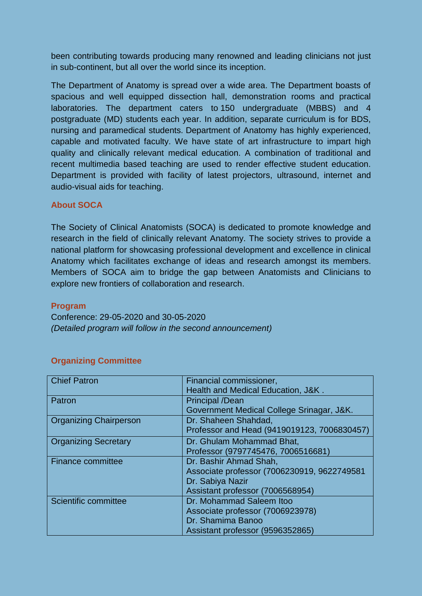been contributing towards producing many renowned and leading clinicians not just in sub-continent, but all over the world since its inception.

The Department of Anatomy is spread over a wide area. The Department boasts of spacious and well equipped dissection hall, demonstration rooms and practical laboratories. The department caters to 150 undergraduate (MBBS) and 4 postgraduate (MD) students each year. In addition, separate curriculum is for BDS, nursing and paramedical students. Department of Anatomy has highly experienced, capable and motivated faculty. We have state of art infrastructure to impart high quality and clinically relevant medical education. A combination of traditional and recent multimedia based teaching are used to render effective student education. Department is provided with facility of latest projectors, ultrasound, internet and audio-visual aids for teaching.

### **About SOCA**

The Society of Clinical Anatomists (SOCA) is dedicated to promote knowledge and research in the field of clinically relevant Anatomy. The society strives to provide a national platform for showcasing professional development and excellence in clinical Anatomy which facilitates exchange of ideas and research amongst its members. Members of SOCA aim to bridge the gap between Anatomists and Clinicians to explore new frontiers of collaboration and research.

#### **Program**

Conference: 29-05-2020 and 30-05-2020 *(Detailed program will follow in the second announcement)*

| <b>Chief Patron</b>           | Financial commissioner,                     |
|-------------------------------|---------------------------------------------|
|                               | Health and Medical Education, J&K.          |
| Patron                        | <b>Principal /Dean</b>                      |
|                               | Government Medical College Srinagar, J&K.   |
| <b>Organizing Chairperson</b> | Dr. Shaheen Shahdad,                        |
|                               | Professor and Head (9419019123, 7006830457) |
| <b>Organizing Secretary</b>   | Dr. Ghulam Mohammad Bhat,                   |
|                               | Professor (9797745476, 7006516681)          |
| <b>Finance committee</b>      | Dr. Bashir Ahmad Shah,                      |
|                               | Associate professor (7006230919, 9622749581 |
|                               | Dr. Sabiya Nazir                            |
|                               | Assistant professor (7006568954)            |
| Scientific committee          | Dr. Mohammad Saleem Itoo                    |
|                               | Associate professor (7006923978)            |
|                               | Dr. Shamima Banoo                           |
|                               | Assistant professor (9596352865)            |

#### **Organizing Committee**